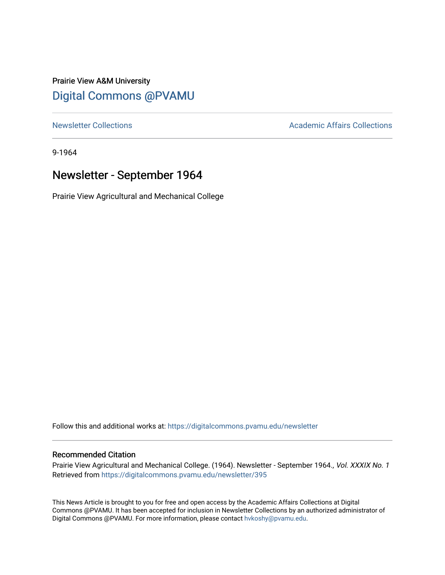# Prairie View A&M University [Digital Commons @PVAMU](https://digitalcommons.pvamu.edu/)

[Newsletter Collections](https://digitalcommons.pvamu.edu/newsletter) **Academic Affairs Collections Academic Affairs Collections** 

9-1964

# Newsletter - September 1964

Prairie View Agricultural and Mechanical College

Follow this and additional works at: [https://digitalcommons.pvamu.edu/newsletter](https://digitalcommons.pvamu.edu/newsletter?utm_source=digitalcommons.pvamu.edu%2Fnewsletter%2F395&utm_medium=PDF&utm_campaign=PDFCoverPages) 

## Recommended Citation

Prairie View Agricultural and Mechanical College. (1964). Newsletter - September 1964., Vol. XXXIX No. 1 Retrieved from [https://digitalcommons.pvamu.edu/newsletter/395](https://digitalcommons.pvamu.edu/newsletter/395?utm_source=digitalcommons.pvamu.edu%2Fnewsletter%2F395&utm_medium=PDF&utm_campaign=PDFCoverPages)

This News Article is brought to you for free and open access by the Academic Affairs Collections at Digital Commons @PVAMU. It has been accepted for inclusion in Newsletter Collections by an authorized administrator of Digital Commons @PVAMU. For more information, please contact [hvkoshy@pvamu.edu.](mailto:hvkoshy@pvamu.edu)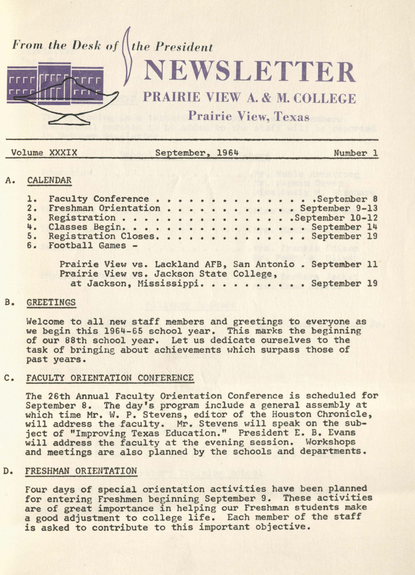

| Volume XXXIX | September, 1964 | Number 1 |
|--------------|-----------------|----------|
|              |                 |          |

# **CALENDAR**

| <b>CATIMENTALISM</b>                                      |  |  |  |  |  |  |  |  |
|-----------------------------------------------------------|--|--|--|--|--|--|--|--|
| 1. Faculty Conference September 8                         |  |  |  |  |  |  |  |  |
| 2. Freshman Orientation September 9-13                    |  |  |  |  |  |  |  |  |
| 3. Registration September 10-12                           |  |  |  |  |  |  |  |  |
| 4. Classes Begin. September 14                            |  |  |  |  |  |  |  |  |
| 5. Registration Closes. September 19                      |  |  |  |  |  |  |  |  |
| 6. Football Games -                                       |  |  |  |  |  |  |  |  |
|                                                           |  |  |  |  |  |  |  |  |
| Prairie View vs. Lackland AFB, San Antonio . September 11 |  |  |  |  |  |  |  |  |

Prairie View vs. Jackson State College,<br>at Jackson, Mississippi.......... September 19

## B. GREETINGS

Welcome to all new staff members and greetings to everyone as<br>we begin this 1964-65 school year. This marks the beginning we begin this 1964-65 school year. This marks the beginning of our 88th school year. Let us dedicate ourselves to the task of bringing about achievements which surpass those of past years.

#### C. FACULTY ORIENTATION CONFERENCE

The 26th Annual Faculty Orientation Conference is scheduled for September 8. The day's program include a general assembly at which time Mr. W. P. Stevens, editor of the Houston Chronicle, will address the faculty. Mr. Stevens will speak on the subject of "Improving Texas Education." President E. B. Evans<br>will address the faculty at the evening session. Workshops and meetings are also planned by the schools and departments.

# D. FRESHMAN ORIENTATION

Four days of special orientation activities have been planned for entering Freshmen beginning September 9. These activities are of great importance in helping our Freshman students make a good adjustment to college life. Each member of the staff is asked to contribute to this important objective.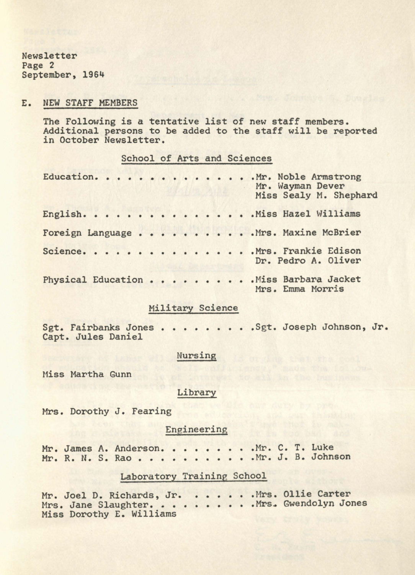Newsletter Page 2 September, 1964

#### E. NEW STAFF MEMBERS

The Following is a tentative list of new staff members. Additional persons to be added to the staff will be reported in October Newsletter.

#### School of Arts and Sciences

|  |  |  |  |  |  | Education. Mr. Noble Armstrong<br>Mr. Wayman Dever<br>Miss Sealy M. Shephard |
|--|--|--|--|--|--|------------------------------------------------------------------------------|
|  |  |  |  |  |  | English. Miss Hazel Williams                                                 |
|  |  |  |  |  |  | Foreign Language Mrs. Maxine McBrier                                         |
|  |  |  |  |  |  | Science. Mrs. Frankie Edison<br>Dr. Pedro A. Oliver                          |
|  |  |  |  |  |  | Physical Education Miss Barbara Jacket<br>Mrs. Emma Morris                   |

## Military Science

Sgt. Fairbanks Jones . . . . . . . . . Sgt. Joseph Johnson, Jr. Capt. Jules Daniel

## Nursing

Miss Martha Gunn

## Library

Mrs. Dorothy J. Fearing

# Engineering

Mr. James A. Anderson. . . . . . . . . . Mr. C. T. Luke<br>Mr. R. N. S. Rao . . . . . . . . . . . . Mr. J. B. John: • Mr. C. T. Luke<br>• Mr. J. B. Johnson

### Laboratory Training School

Mr. Joel D. Richards, Jr. . . . . . . Mrs. Ollie Carter Mr. Joel D. Richards, Jr. . . . . . . . Mrs. Ollie Carter<br>Mrs. Jane Slaughter. . . . . . . . . . Mrs. Gwendolyn Jones Miss Dorothy E. Williams